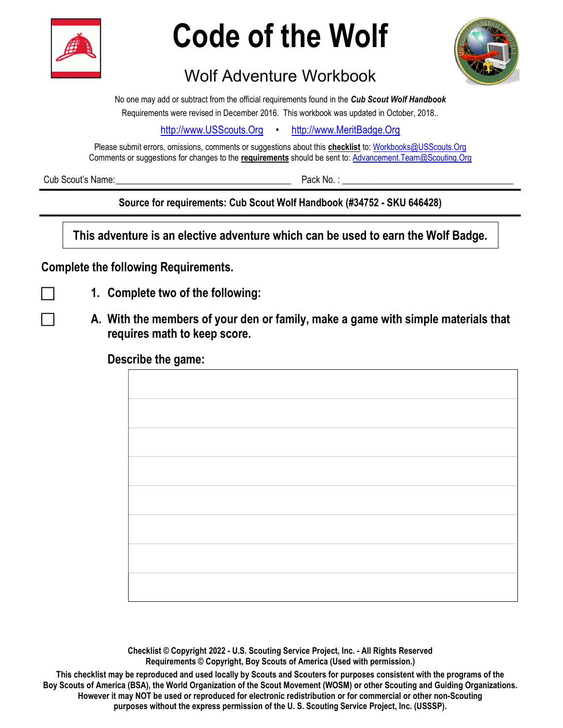

## Code of the Wolf



## Wolf Adventure Workbook

No one may add or subtract from the official requirements found in the Cub Scout Wolf Handbook Requirements were revised in December 2016. This workbook was updated in October, 2018..

http://www.USScouts.Org • http://www.MeritBadge.Org

Please submit errors, omissions, comments or suggestions about this **checklist** to: Workbooks@USScouts.Org Comments or suggestions for changes to the requirements should be sent to: Advancement. Team@Scouting.Org

Cub Scout's Name:  $\Box$ 

Source for requirements: Cub Scout Wolf Handbook (#34752 - SKU 646428)

This adventure is an elective adventure which can be used to earn the Wolf Badge.

## Complete the following Requirements.

- 
- 1. Complete two of the following:
- A. With the members of your den or family, make a game with simple materials that requires math to keep score.

## Describe the game:

Checklist © Copyright 2022 - U.S. Scouting Service Project, Inc. - All Rights Reserved Requirements © Copyright, Boy Scouts of America (Used with permission.)

This checklist may be reproduced and used locally by Scouts and Scouters for purposes consistent with the programs of the Boy Scouts of America (BSA), the World Organization of the Scout Movement (WOSM) or other Scouting and Guiding Organizations. However it may NOT be used or reproduced for electronic redistribution or for commercial or other non-Scouting purposes without the express permission of the U. S. Scouting Service Project, Inc. (USSSP).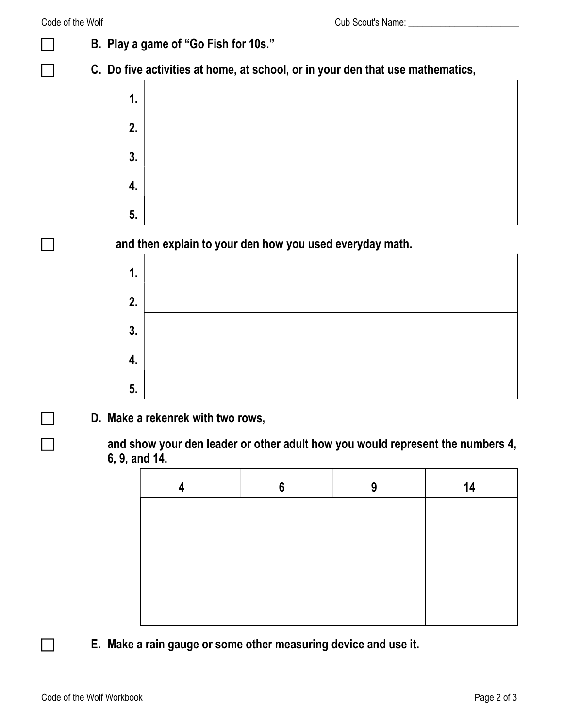|                                                                                                 | B. Play a game of "Go Fish for 10s."                                           |   |   |    |  |  |
|-------------------------------------------------------------------------------------------------|--------------------------------------------------------------------------------|---|---|----|--|--|
|                                                                                                 | C. Do five activities at home, at school, or in your den that use mathematics, |   |   |    |  |  |
| 1.                                                                                              |                                                                                |   |   |    |  |  |
| 2.                                                                                              |                                                                                |   |   |    |  |  |
| 3.                                                                                              |                                                                                |   |   |    |  |  |
| 4.                                                                                              |                                                                                |   |   |    |  |  |
| 5.                                                                                              |                                                                                |   |   |    |  |  |
|                                                                                                 | and then explain to your den how you used everyday math.                       |   |   |    |  |  |
| 1.                                                                                              |                                                                                |   |   |    |  |  |
| 2.                                                                                              |                                                                                |   |   |    |  |  |
| 3.                                                                                              |                                                                                |   |   |    |  |  |
| 4.                                                                                              |                                                                                |   |   |    |  |  |
| 5.                                                                                              |                                                                                |   |   |    |  |  |
| D. Make a rekenrek with two rows,                                                               |                                                                                |   |   |    |  |  |
| and show your den leader or other adult how you would represent the numbers 4,<br>6, 9, and 14. |                                                                                |   |   |    |  |  |
|                                                                                                 | 4                                                                              | 6 | 9 | 14 |  |  |
|                                                                                                 |                                                                                |   |   |    |  |  |

| 4 | 6 | 9 | 14 |
|---|---|---|----|
|   |   |   |    |
|   |   |   |    |
|   |   |   |    |
|   |   |   |    |
|   |   |   |    |

E. Make a rain gauge or some other measuring device and use it.